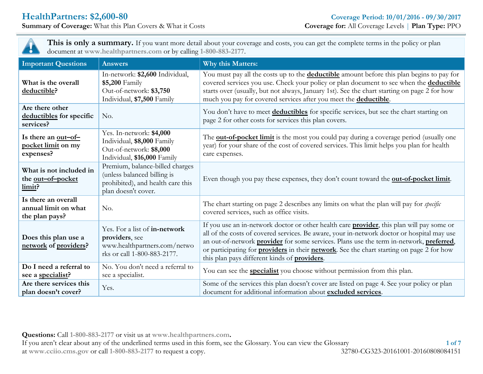**Summary** of **Coverage:** What this Plan Covers & What it Costs



**This is only a summary.** If you want more detail about your coverage and costs, you can get the complete terms in the policy or plan document at **www.healthpartners.com** or by calling **1-800-883-2177**.

| <b>Important Questions</b>                                    | <b>Answers</b>                                                                                                             | Why this Matters:                                                                                                                                                                                                                                                                                                                                                                                                                                      |  |  |
|---------------------------------------------------------------|----------------------------------------------------------------------------------------------------------------------------|--------------------------------------------------------------------------------------------------------------------------------------------------------------------------------------------------------------------------------------------------------------------------------------------------------------------------------------------------------------------------------------------------------------------------------------------------------|--|--|
| What is the overall<br>deductible?                            | In-network: \$2,600 Individual,<br>\$5,200 Family<br>Out-of-network: \$3,750<br>Individual, \$7,500 Family                 | You must pay all the costs up to the <b>deductible</b> amount before this plan begins to pay for<br>covered services you use. Check your policy or plan document to see when the deductible<br>starts over (usually, but not always, January 1st). See the chart starting on page 2 for how<br>much you pay for covered services after you meet the <b>deductible</b> .                                                                                |  |  |
| Are there other<br>deductibles for specific<br>services?      | No.                                                                                                                        | You don't have to meet deductibles for specific services, but see the chart starting on<br>page 2 for other costs for services this plan covers.                                                                                                                                                                                                                                                                                                       |  |  |
| Is there an out-of-<br>pocket limit on my<br>expenses?        | Yes. In-network: \$4,000<br>Individual, \$8,000 Family<br>Out-of-network: \$8,000<br>Individual, \$16,000 Family           | The <b>out-of-pocket limit</b> is the most you could pay during a coverage period (usually one<br>year) for your share of the cost of covered services. This limit helps you plan for health<br>care expenses.                                                                                                                                                                                                                                         |  |  |
| What is not included in<br>the <u>out-of-pocket</u><br>limit? | Premium, balance-billed charges<br>(unless balanced billing is<br>prohibited), and health care this<br>plan doesn't cover. | Even though you pay these expenses, they don't count toward the <b>out-of-pocket limit</b> .                                                                                                                                                                                                                                                                                                                                                           |  |  |
| Is there an overall<br>annual limit on what<br>the plan pays? | No.                                                                                                                        | The chart starting on page 2 describes any limits on what the plan will pay for <i>specific</i><br>covered services, such as office visits.                                                                                                                                                                                                                                                                                                            |  |  |
| Does this plan use a<br>network of providers?                 | Yes. For a list of in-network<br>providers, see<br>www.healthpartners.com/netwo<br>rks or call 1-800-883-2177.             | If you use an in-network doctor or other health care <b>provider</b> , this plan will pay some or<br>all of the costs of covered services. Be aware, your in-network doctor or hospital may use<br>an out-of-network provider for some services. Plans use the term in-network, preferred,<br>or participating for <b>providers</b> in their <b>network</b> . See the chart starting on page 2 for how<br>this plan pays different kinds of providers. |  |  |
| Do I need a referral to<br>see a specialist?                  | No. You don't need a referral to<br>see a specialist.                                                                      | You can see the <b>specialist</b> you choose without permission from this plan.                                                                                                                                                                                                                                                                                                                                                                        |  |  |
| Are there services this<br>plan doesn't cover?                | Yes.                                                                                                                       | Some of the services this plan doesn't cover are listed on page 4. See your policy or plan<br>document for additional information about excluded services.                                                                                                                                                                                                                                                                                             |  |  |

**Questions:** Call **1-800-883-2177** or visit us at **www.healthpartners.com.**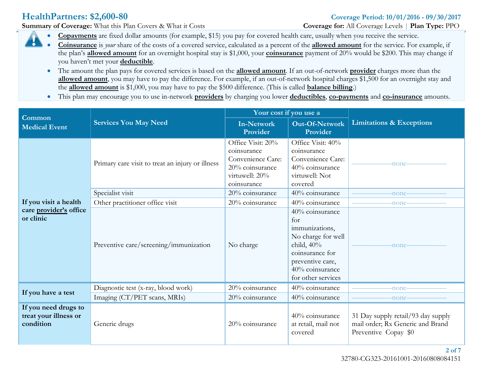**Summary** of Coverage: What this Plan Covers & What it Costs **Coverage Coverage** for: All Coverage Levels | **Plan Type:** PPO

- **Copayments** are fixed dollar amounts (for example, \$15) you pay for covered health care, usually when you receive the service.
- **Coinsurance** is *your* share of the costs of a covered service, calculated as a percent of the **allowed amount** for the service. For example, if the plan's **allowed amount** for an overnight hospital stay is \$1,000, your **coinsurance** payment of 20% would be \$200. This may change if you haven't met your **deductible**.
	- The amount the plan pays for covered services is based on the **allowed amount**. If an out-of-network **provider** charges more than the **allowed amount**, you may have to pay the difference. For example, if an out-of-network hospital charges \$1,500 for an overnight stay and the **allowed amount** is \$1,000, you may have to pay the \$500 difference. (This is called **balance billing**.)
	- This plan may encourage you to use in-network **providers** by charging you lower **deductibles**, **co-payments** and **co-insurance** amounts.

| Common                                                     |                                                  | Your cost if you use a                                                                                    |                                                                                                                                                                 |                                                                                                |
|------------------------------------------------------------|--------------------------------------------------|-----------------------------------------------------------------------------------------------------------|-----------------------------------------------------------------------------------------------------------------------------------------------------------------|------------------------------------------------------------------------------------------------|
| <b>Medical Event</b>                                       | <b>Services You May Need</b>                     | <b>In-Network</b><br>Provider                                                                             | <b>Out-Of-Network</b><br>Provider                                                                                                                               | <b>Limitations &amp; Exceptions</b>                                                            |
|                                                            | Primary care visit to treat an injury or illness | Office Visit: 20%<br>coinsurance<br>Convenience Care:<br>20% coinsurance<br>virtuwell: 20%<br>coinsurance | Office Visit: 40%<br>coinsurance<br>Convenience Care:<br>40% coinsurance<br>virtuwell: Not<br>covered                                                           | -none-                                                                                         |
|                                                            | Specialist visit                                 | 20% coinsurance                                                                                           | 40% coinsurance                                                                                                                                                 | -none-                                                                                         |
| If you visit a health                                      | Other practitioner office visit                  | 20% coinsurance                                                                                           | 40% coinsurance                                                                                                                                                 | -none-                                                                                         |
| care provider's office<br>or clinic                        | Preventive care/screening/immunization           | No charge                                                                                                 | 40% coinsurance<br>for<br>immunizations,<br>No charge for well<br>child, $40\%$<br>coinsurance for<br>preventive care,<br>40% coinsurance<br>for other services | -none-                                                                                         |
|                                                            | Diagnostic test (x-ray, blood work)              | 20% coinsurance                                                                                           | 40% coinsurance                                                                                                                                                 | -none-                                                                                         |
| If you have a test                                         | Imaging (CT/PET scans, MRIs)                     | 20% coinsurance                                                                                           | 40% coinsurance                                                                                                                                                 | -none-                                                                                         |
| If you need drugs to<br>treat your illness or<br>condition | Generic drugs                                    | 20% coinsurance                                                                                           | 40% coinsurance<br>at retail, mail not<br>covered                                                                                                               | 31 Day supply retail/93 day supply<br>mail order; Rx Generic and Brand<br>Preventive Copay \$0 |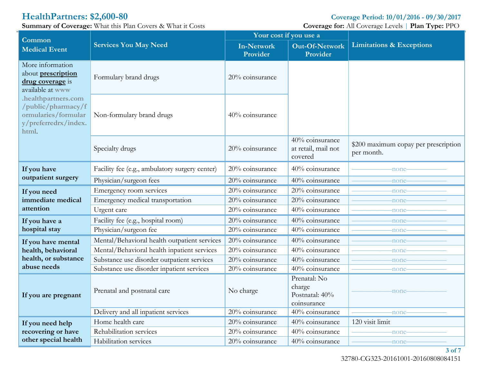**HealthPartners: \$2,600-80 Coverage Period: 10/01/2016 - 09/30/2017**<br> **Summary of Coverage:** What this Plan Covers & What it Costs **Coverage Coverage** for: All Coverage Levels | Plan Type: PPO **Summary** of **Coverage:** What this Plan Covers & What it Costs

|                                                                                                   | $\lim_{\omega \to 0}$ or coverage. What the radii covers $\alpha$ what it costs | Your cost if you use a        |                                                         | $\frac{1}{2}$                                      |
|---------------------------------------------------------------------------------------------------|---------------------------------------------------------------------------------|-------------------------------|---------------------------------------------------------|----------------------------------------------------|
| Common<br><b>Medical Event</b>                                                                    | <b>Services You May Need</b>                                                    | <b>In-Network</b><br>Provider | Out-Of-Network<br>Provider                              | <b>Limitations &amp; Exceptions</b>                |
| More information<br>about prescription<br>drug coverage is<br>available at www                    | Formulary brand drugs                                                           | 20% coinsurance               |                                                         |                                                    |
| .healthpartners.com<br>/public/pharmacy/f<br>ormularies/formular<br>y/preferredrx/index.<br>html. | Non-formulary brand drugs                                                       | 40% coinsurance               |                                                         |                                                    |
|                                                                                                   | Specialty drugs                                                                 | 20% coinsurance               | 40% coinsurance<br>at retail, mail not<br>covered       | \$200 maximum copay per prescription<br>per month. |
| If you have                                                                                       | Facility fee (e.g., ambulatory surgery center)                                  | 20% coinsurance               | 40% coinsurance                                         | -none-                                             |
| outpatient surgery                                                                                | Physician/surgeon fees                                                          | 20% coinsurance               | 40% coinsurance                                         | -none                                              |
| If you need                                                                                       | Emergency room services                                                         | 20% coinsurance               | 20% coinsurance                                         | -none                                              |
| immediate medical                                                                                 | Emergency medical transportation                                                | 20% coinsurance               | 20% coinsurance                                         | -none                                              |
| attention                                                                                         | Urgent care                                                                     | 20% coinsurance               | 40% coinsurance                                         | -none                                              |
| If you have a                                                                                     | Facility fee (e.g., hospital room)                                              | 20% coinsurance               | 40% coinsurance                                         | -none                                              |
| hospital stay                                                                                     | Physician/surgeon fee                                                           | 20% coinsurance               | 40% coinsurance                                         | -none                                              |
| If you have mental                                                                                | Mental/Behavioral health outpatient services                                    | 20% coinsurance               | 40% coinsurance                                         | -none                                              |
| health, behavioral                                                                                | Mental/Behavioral health inpatient services                                     | 20% coinsurance               | 40% coinsurance                                         | -none                                              |
| health, or substance                                                                              | Substance use disorder outpatient services                                      | 20% coinsurance               | 40% coinsurance                                         | -none                                              |
| abuse needs                                                                                       | Substance use disorder inpatient services                                       | 20% coinsurance               | 40% coinsurance                                         | -none                                              |
| If you are pregnant                                                                               | Prenatal and postnatal care                                                     | No charge                     | Prenatal: No<br>charge<br>Postnatal: 40%<br>coinsurance | none                                               |
|                                                                                                   | Delivery and all inpatient services                                             | 20% coinsurance               | 40% coinsurance                                         | -none                                              |
| If you need help                                                                                  | Home health care                                                                | 20% coinsurance               | 40% coinsurance                                         | 120 visit limit                                    |
| recovering or have                                                                                | Rehabilitation services                                                         | 20% coinsurance               | 40% coinsurance                                         | -none                                              |
| other special health                                                                              | Habilitation services                                                           | 20% coinsurance               | 40% coinsurance                                         | -none-                                             |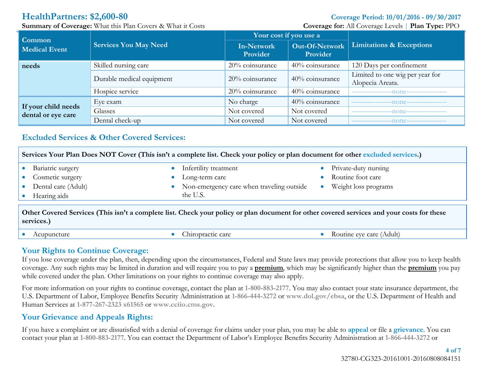**Summary** of Coverage: What this Plan Covers & What it Costs **Coverage Coverage** for: All Coverage Levels | **Plan Type:** PPO

| <b>Common</b>                             | <b>Services You May Need</b> | Your cost if you use a        |                            |                                                     |
|-------------------------------------------|------------------------------|-------------------------------|----------------------------|-----------------------------------------------------|
| <b>Medical Event</b>                      |                              | <b>In-Network</b><br>Provider | Out-Of-Network<br>Provider | <b>Limitations &amp; Exceptions</b>                 |
| needs                                     | Skilled nursing care         | 20% coinsurance               | 40% coinsurance            | 120 Days per confinement                            |
|                                           | Durable medical equipment    | 20% coinsurance               | 40% coinsurance            | Limited to one wig per year for<br>Alopecia Areata. |
|                                           | Hospice service              | 20% coinsurance               | 40% coinsurance            | -none-                                              |
| If your child needs<br>dental or eye care | Eye exam                     | No charge                     | 40% coinsurance            | -none-                                              |
|                                           | Glasses                      | Not covered                   | Not covered                | -none-                                              |
|                                           | Dental check-up              | Not covered                   | Not covered                | -none-                                              |

# <span id="page-3-0"></span>**Excluded Services & Other Covered Services:**

| Services Your Plan Does NOT Cover (This isn't a complete list. Check your policy or plan document for other excluded services.)                          |                                           |                      |  |  |  |
|----------------------------------------------------------------------------------------------------------------------------------------------------------|-------------------------------------------|----------------------|--|--|--|
| Bariatric surgery                                                                                                                                        | Infertility treatment                     | Private-duty nursing |  |  |  |
| Cosmetic surgery                                                                                                                                         | Long-term care                            | Routine foot care    |  |  |  |
| Dental care (Adult)                                                                                                                                      | Non-emergency care when traveling outside | Weight loss programs |  |  |  |
| Hearing aids                                                                                                                                             | the U.S.                                  |                      |  |  |  |
| Other Covered Services (This isn't a complete list. Check your policy or plan document for other covered services and your costs for these<br>services.) |                                           |                      |  |  |  |

Acupuncture Chiropractic care Chiropractic care Chiropractic care Routine eye care (Adult)

## **Your Rights to Continue Coverage:**

If you lose coverage under the plan, then, depending upon the circumstances, Federal and State laws may provide protections that allow you to keep health coverage. Any such rights may be limited in duration and will require you to pay a **premium**, which may be significantly higher than the **premium** you pay while covered under the plan. Other limitations on your rights to continue coverage may also apply.

For more information on your rights to continue coverage, contact the plan at **1-800-883-2177**. You may also contact your state insurance department, the U.S. Department of Labor, Employee Benefits Security Administration at **1-866-444-3272** or **www.dol.gov/ebsa**, or the U.S. Department of Health and Human Services at **1-877-267-2323 x61565** or **www.cciio.cms.gov**.

# **Your Grievance and Appeals Rights:**

If you have a complaint or are dissatisfied with a denial of coverage for claims under your plan, you may be able to **appeal** or file a **grievance**. You can contact your plan at **1-800-883-2177**. You can contact the Department of Labor's Employee Benefits Security Administration at **1-866-444-3272** or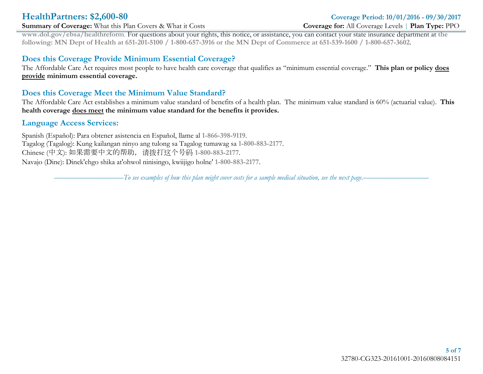### **Summary** of Coverage: What this Plan Covers & What it Costs **Coverage Coverage** for: All Coverage Levels | **Plan Type:** PPO

# **HealthPartners: \$2,600-80 Coverage Period: 10/01/2016 - 09/30/2017**

**www.dol.gov/ebsa/healthreform**. For questions about your rights, this notice, or assistance, you can contact your state insurance department at **the** following: MN Dept of Health at 651-201-5100 / 1-800-657-3916 or the MN Dept of Commerce at 651-539-1600 / 1-800-657-3602.

## **Does this Coverage Provide Minimum Essential Coverage?**

The Affordable Care Act requires most people to have health care coverage that qualifies as "minimum essential coverage." **This plan or policy does provide minimum essential coverage.** 

## **Does this Coverage Meet the Minimum Value Standard?**

The Affordable Care Act establishes a minimum value standard of benefits of a health plan. The minimum value standard is 60% (actuarial value). **This health coverage does meet the minimum value standard for the benefits it provides.**

### **Language Access Services:**

Spanish (Español): Para obtener asistencia en Español, llame al **1-866-398-9119**. Tagalog (Tagalog): Kung kailangan ninyo ang tulong sa Tagalog tumawag sa **1-800-883-2177**. Chinese (中文): 如果需要中文的帮助,请拨打这个号码 **1-800-883-2177**. Navajo (Dine): Dinek'ehgo shika at'ohwol ninisingo, kwiijigo holne' **1-800-883-2177**.

 $- T$ o see examples of how this plan might cover costs for a sample medical situation, see the next page.–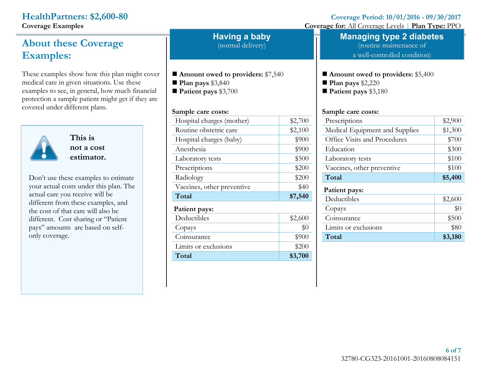.

# **About these Coverage Examples:**

These examples show how this plan might cover medical care in given situations. Use these examples to see, in general, how much financial protection a sample patient might get if they are covered under different plans.



**This is not a cost estimator.**

Don't use these examples to estimate your actual costs under this plan. The actual care you receive will be different from these examples, and the cost of that care will also be different. Cost sharing or "Patient pays" amounts are based on selfonly coverage.

**Having a baby**

(normal delivery)

- **Amount owed to providers:** \$7,540
- **Plan pays** \$3,840

**Patient pays** \$3,700

### **Sample care costs:**

| Hospital charges (mother)  | \$2,700 |
|----------------------------|---------|
| Routine obstetric care     | \$2,100 |
| Hospital charges (baby)    | \$900   |
| Anesthesia                 | \$900   |
| Laboratory tests           | \$500   |
| Prescriptions              | \$200   |
| Radiology                  | \$200   |
| Vaccines, other preventive | \$40    |
| Total                      | \$7,540 |
| Patient pays:              |         |
| Deductibles                | \$2,600 |
| Copays                     | \$0     |
| Coinsurance                | \$900   |
| Limits or exclusions       | \$200   |
| Total                      | \$3,700 |

**HealthPartners:** \$2,600-80<br> **Coverage Period:**  $10/01/2016 - 09/30/2017$ <br> **Coverage Coverage Coverage Coverage Period:**  $10/01/2016 - 09/30/2017$ 

**Coverage** for: All Coverage Levels | **Plan Type:** PPO

# **Managing type 2 diabetes**

(routine maintenance of a well-controlled condition)

**Amount owed to providers:** \$5,400

**Plan pays** \$2,220

**Patient pays** \$3,180

### **Sample care costs:**

| Prescriptions                  | \$2,900 |
|--------------------------------|---------|
| Medical Equipment and Supplies | \$1,300 |
| Office Visits and Procedures   | \$700   |
| Education                      | \$300   |
| Laboratory tests               | \$100   |
| Vaccines, other preventive     | \$100   |
| Total                          | \$5,400 |
| Patient pays:                  |         |
| Deductibles                    | \$2,600 |
| Copays                         | $\$0$   |
| Coinsurance                    | \$500   |
| Limits or exclusions           | \$80    |
| Total                          | \$3,180 |